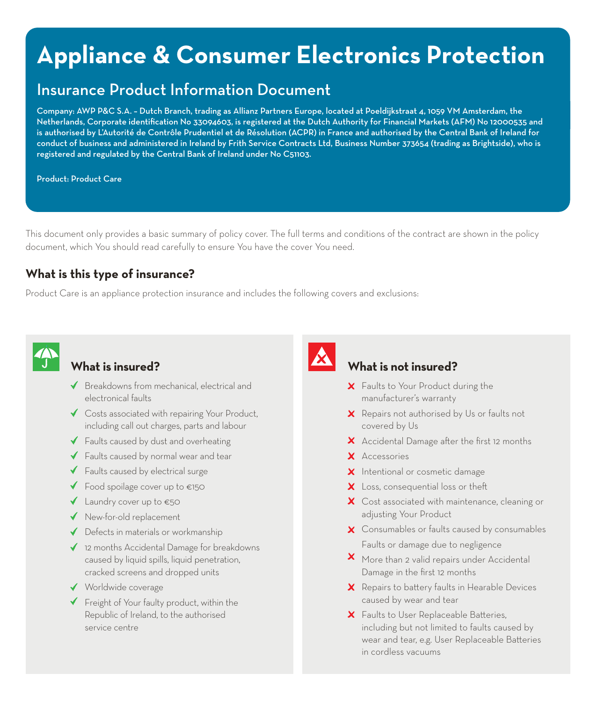# **Appliance & Consumer Electronics Protection**

## Insurance Product Information Document

Company: AWP P&C S.A. – Dutch Branch, trading as Allianz Partners Europe, located at Poeldijkstraat 4, 1059 VM Amsterdam, the Netherlands, Corporate identification No 33094603, is registered at the Dutch Authority for Financial Markets (AFM) No 12000535 and is authorised by L'Autorité de Contrôle Prudentiel et de Résolution (ACPR) in France and authorised by the Central Bank of Ireland for conduct of business and administered in Ireland by Frith Service Contracts Ltd, Business Number 373654 (trading as Brightside), who is registered and regulated by the Central Bank of Ireland under No C51103.

Product: Product Care

This document only provides a basic summary of policy cover. The full terms and conditions of the contract are shown in the policy document, which You should read carefully to ensure You have the cover You need.

#### **What is this type of insurance?**

Product Care is an appliance protection insurance and includes the following covers and exclusions:



## **What is insured?**

- ◆ Breakdowns from mechanical, electrical and electronical faults
- ◆ Costs associated with repairing Your Product, including call out charges, parts and labour
- $\blacklozenge$  Faults caused by dust and overheating
- Faults caused by normal wear and tear
- Faults caused by electrical surge
- $\checkmark$  Food spoilage cover up to  $\epsilon$ 150
- Laundry cover up to €50
- ◆ New-for-old replacement
- ◆ Defects in materials or workmanship
- ◆ 12 months Accidental Damage for breakdowns caused by liquid spills, liquid penetration, cracked screens and dropped units
- ◆ Worldwide coverage
- Freight of Your faulty product, within the Republic of Ireland, to the authorised service centre



#### **What is not insured?**

- X Faults to Your Product during the manufacturer's warranty
- **X** Repairs not authorised by Us or faults not covered by Us
- X Accidental Damage after the first 12 months
- X Accessories
- X Intentional or cosmetic damage
- X Loss, consequential loss or theft
- X Cost associated with maintenance, cleaning or adjusting Your Product
- X Consumables or faults caused by consumables Faults or damage due to negligence
- **X** More than 2 valid repairs under Accidental Damage in the first 12 months
- $\boldsymbol{\times}$  Repairs to battery faults in Hearable Devices caused by wear and tear
- X Faults to User Replaceable Batteries, including but not limited to faults caused by wear and tear, e.g. User Replaceable Batteries in cordless vacuums